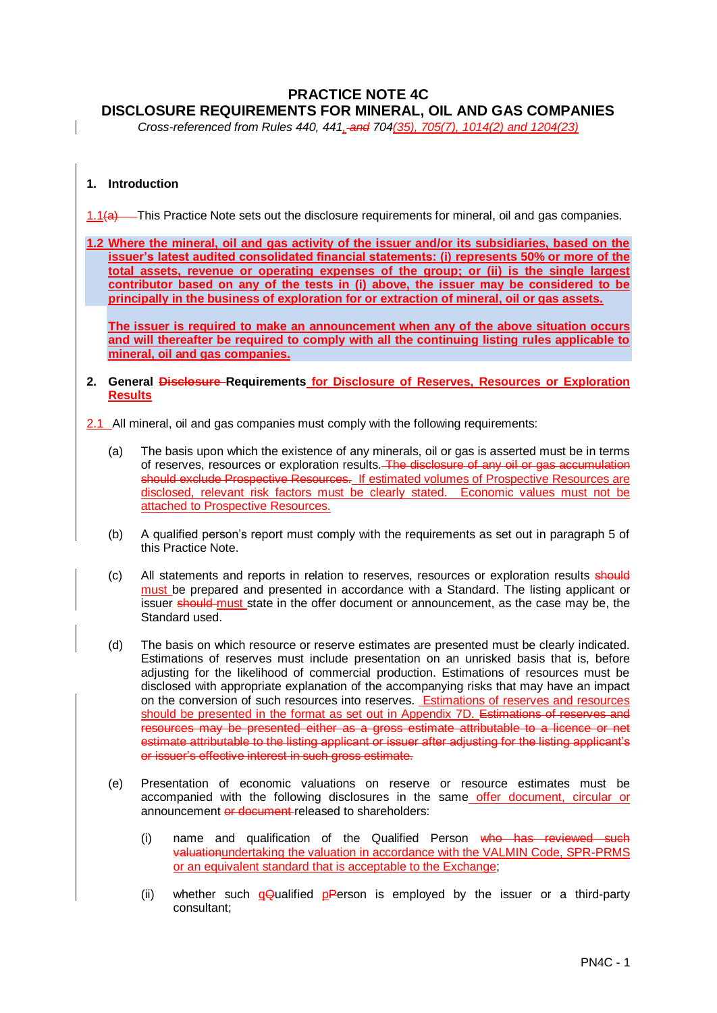# **PRACTICE NOTE 4C DISCLOSURE REQUIREMENTS FOR MINERAL, OIL AND GAS COMPANIES**

*Cross-referenced from Rules 440, 441, and 704(35), 705(7), 1014(2) and 1204(23)*

# **1. Introduction**

1.1(a) This Practice Note sets out the disclosure requirements for mineral, oil and gas companies.

**1.2 Where the mineral, oil and gas activity of the issuer and/or its subsidiaries, based on the issuer's latest audited consolidated financial statements: (i) represents 50% or more of the total assets, revenue or operating expenses of the group; or (ii) is the single largest contributor based on any of the tests in (i) above, the issuer may be considered to be principally in the business of exploration for or extraction of mineral, oil or gas assets.**

**The issuer is required to make an announcement when any of the above situation occurs and will thereafter be required to comply with all the continuing listing rules applicable to mineral, oil and gas companies.**

### **2. General Disclosure Requirements for Disclosure of Reserves, Resources or Exploration Results**

2.1 All mineral, oil and gas companies must comply with the following requirements:

- (a) The basis upon which the existence of any minerals, oil or gas is asserted must be in terms of reserves, resources or exploration results. The disclosure of any oil or gas accumulation should exclude Prospective Resources. If estimated volumes of Prospective Resources are disclosed, relevant risk factors must be clearly stated. Economic values must not be attached to Prospective Resources.
- (b) A qualified person's report must comply with the requirements as set out in paragraph 5 of this Practice Note.
- (c) All statements and reports in relation to reserves, resources or exploration results should must be prepared and presented in accordance with a Standard. The listing applicant or issuer should must state in the offer document or announcement, as the case may be, the Standard used.
- (d) The basis on which resource or reserve estimates are presented must be clearly indicated. Estimations of reserves must include presentation on an unrisked basis that is, before adjusting for the likelihood of commercial production. Estimations of resources must be disclosed with appropriate explanation of the accompanying risks that may have an impact on the conversion of such resources into reserves. **Estimations of reserves and resources** should be presented in the format as set out in Appendix 7D. Estimations of reserves and resources may be presented either as a gross estimate attributable to a licence or net estimate attributable to the listing applicant or issuer after adjusting for the listing applicant's or issuer's effective interest in such gross estimate.
- (e) Presentation of economic valuations on reserve or resource estimates must be accompanied with the following disclosures in the same offer document, circular or announcement or document released to shareholders:
	- (i) name and qualification of the Qualified Person who has reviewed such valuationundertaking the valuation in accordance with the VALMIN Code, SPR-PRMS or an equivalent standard that is acceptable to the Exchange;
	- (ii) whether such  $q\ddot{q}$  ualified pPerson is employed by the issuer or a third-party consultant;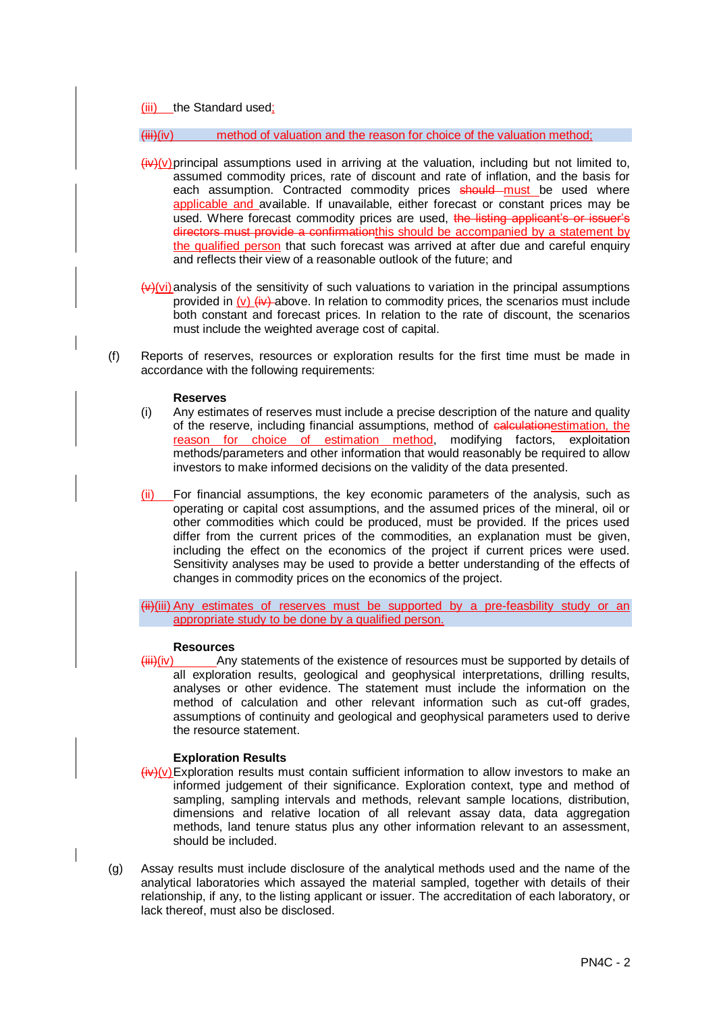(iii) the Standard used;

 $\left(\frac{1}{10}\right)$  method of valuation and the reason for choice of the valuation method:

- $\frac{\partial \psi}{\partial x}$  (iv)(v) principal assumptions used in arriving at the valuation, including but not limited to, assumed commodity prices, rate of discount and rate of inflation, and the basis for each assumption. Contracted commodity prices should must be used where applicable and available. If unavailable, either forecast or constant prices may be used. Where forecast commodity prices are used, the listing applicant's or issuer's directors must provide a confirmation this should be accompanied by a statement by the qualified person that such forecast was arrived at after due and careful enquiry and reflects their view of a reasonable outlook of the future; and
- $\left(\frac{y}{y}\right)$ (vi) analysis of the sensitivity of such valuations to variation in the principal assumptions provided in (v)  $\left(\frac{iv}{iv}\right)$  above. In relation to commodity prices, the scenarios must include both constant and forecast prices. In relation to the rate of discount, the scenarios must include the weighted average cost of capital.
- (f) Reports of reserves, resources or exploration results for the first time must be made in accordance with the following requirements:

#### **Reserves**

- (i) Any estimates of reserves must include a precise description of the nature and quality of the reserve, including financial assumptions, method of calculationestimation, the reason for choice of estimation method, modifying factors, exploitation methods/parameters and other information that would reasonably be required to allow investors to make informed decisions on the validity of the data presented.
- (ii) For financial assumptions, the key economic parameters of the analysis, such as operating or capital cost assumptions, and the assumed prices of the mineral, oil or other commodities which could be produced, must be provided. If the prices used differ from the current prices of the commodities, an explanation must be given, including the effect on the economics of the project if current prices were used. Sensitivity analyses may be used to provide a better understanding of the effects of changes in commodity prices on the economics of the project.

(ii)(iii) Any estimates of reserves must be supported by a pre-feasbility study or an appropriate study to be done by a qualified person.

#### **Resources**

 $\overline{\text{lim}}$  $\text{(iv)}$  Any statements of the existence of resources must be supported by details of all exploration results, geological and geophysical interpretations, drilling results, analyses or other evidence. The statement must include the information on the method of calculation and other relevant information such as cut-off grades, assumptions of continuity and geological and geophysical parameters used to derive the resource statement.

### **Exploration Results**

- $\frac{\partial \psi}{\partial x}$  Exploration results must contain sufficient information to allow investors to make an informed judgement of their significance. Exploration context, type and method of sampling, sampling intervals and methods, relevant sample locations, distribution, dimensions and relative location of all relevant assay data, data aggregation methods, land tenure status plus any other information relevant to an assessment, should be included.
- (g) Assay results must include disclosure of the analytical methods used and the name of the analytical laboratories which assayed the material sampled, together with details of their relationship, if any, to the listing applicant or issuer. The accreditation of each laboratory, or lack thereof, must also be disclosed.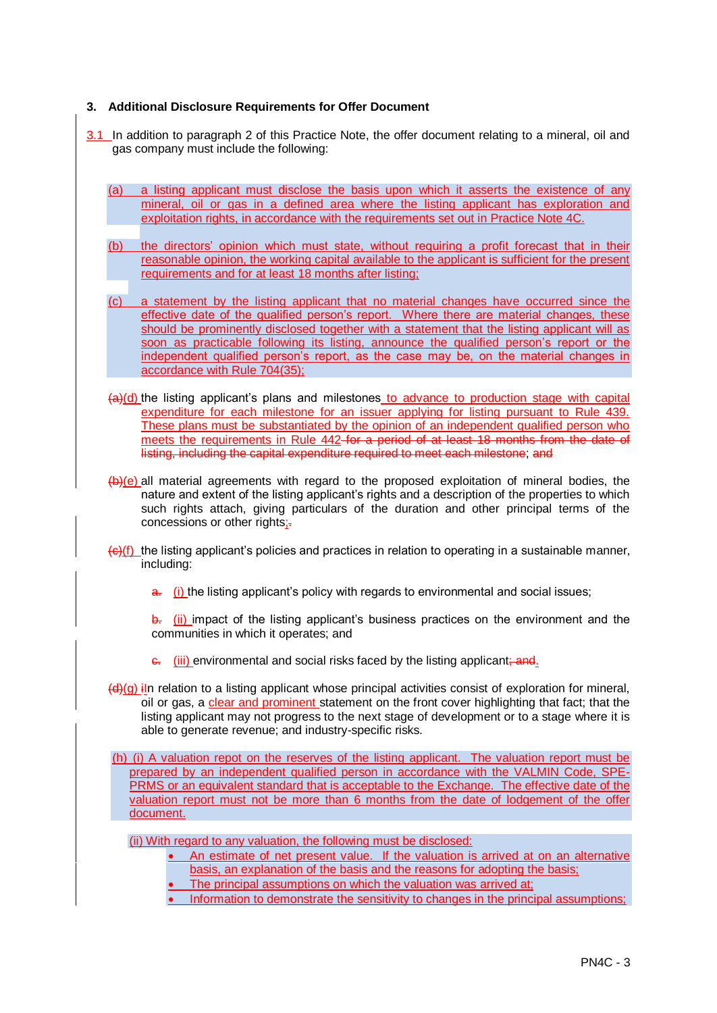# **3. Additional Disclosure Requirements for Offer Document**

- 3.1 In addition to paragraph 2 of this Practice Note, the offer document relating to a mineral, oil and gas company must include the following:
	- (a) a listing applicant must disclose the basis upon which it asserts the existence of any mineral, oil or gas in a defined area where the listing applicant has exploration and exploitation rights, in accordance with the requirements set out in Practice Note 4C.
	- (b) the directors' opinion which must state, without requiring a profit forecast that in their reasonable opinion, the working capital available to the applicant is sufficient for the present requirements and for at least 18 months after listing;
	- (c) a statement by the listing applicant that no material changes have occurred since the effective date of the qualified person's report. Where there are material changes, these should be prominently disclosed together with a statement that the listing applicant will as soon as practicable following its listing, announce the qualified person's report or the independent qualified person's report, as the case may be, on the material changes in accordance with Rule 704(35);
	- $(a)(d)$  the listing applicant's plans and milestones to advance to production stage with capital expenditure for each milestone for an issuer applying for listing pursuant to Rule 439. These plans must be substantiated by the opinion of an independent qualified person who meets the requirements in Rule 442 for a period of at least 18 months from the date of listing, including the capital expenditure required to meet each milestone; and
	- $(b)$ (e) all material agreements with regard to the proposed exploitation of mineral bodies, the nature and extent of the listing applicant's rights and a description of the properties to which such rights attach, giving particulars of the duration and other principal terms of the concessions or other rights;-
	- $\left(\frac{e}{c}\right)$  (f) the listing applicant's policies and practices in relation to operating in a sustainable manner, including:
		- $\frac{a}{b}$  (i) the listing applicant's policy with regards to environmental and social issues;

b. (ii) impact of the listing applicant's business practices on the environment and the communities in which it operates; and

- e. (iii) environmental and social risks faced by the listing applicant; and.
- $\left(\frac{d}{dx}\right)(q)$  iln relation to a listing applicant whose principal activities consist of exploration for mineral, oil or gas, a clear and prominent statement on the front cover highlighting that fact; that the listing applicant may not progress to the next stage of development or to a stage where it is able to generate revenue; and industry-specific risks.

(h) (i) A valuation repot on the reserves of the listing applicant. The valuation report must be prepared by an independent qualified person in accordance with the VALMIN Code, SPE-PRMS or an equivalent standard that is acceptable to the Exchange. The effective date of the valuation report must not be more than 6 months from the date of lodgement of the offer document.

(ii) With regard to any valuation, the following must be disclosed:

- An estimate of net present value. If the valuation is arrived at on an alternative
	- basis, an explanation of the basis and the reasons for adopting the basis;
- The principal assumptions on which the valuation was arrived at;
- Information to demonstrate the sensitivity to changes in the principal assumptions;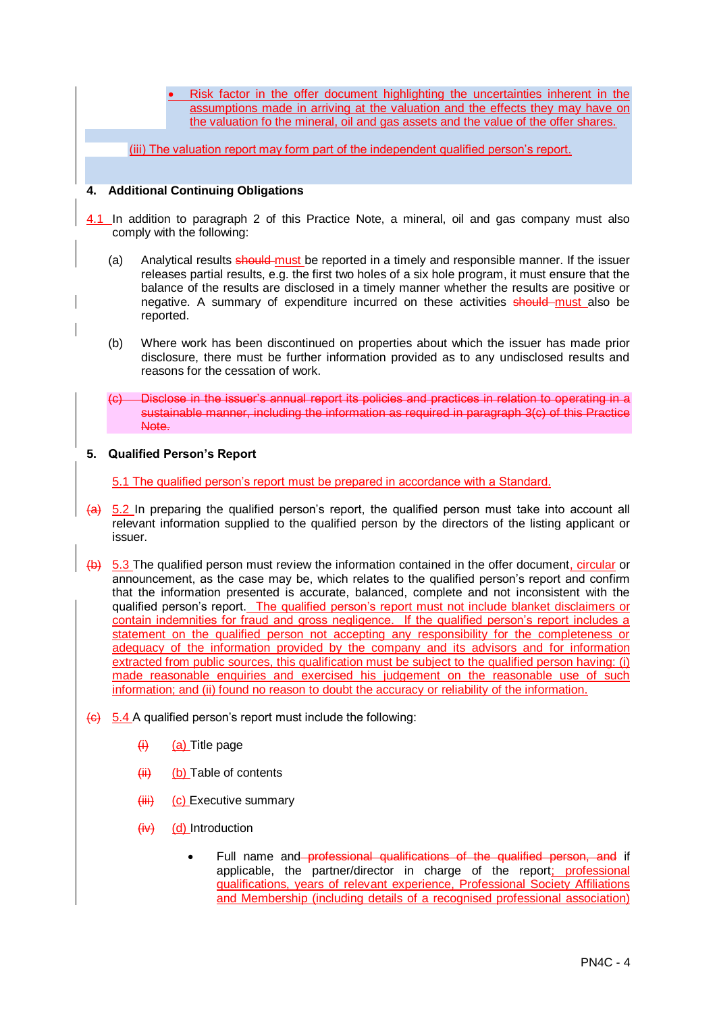Risk factor in the offer document highlighting the uncertainties inherent in the assumptions made in arriving at the valuation and the effects they may have on the valuation fo the mineral, oil and gas assets and the value of the offer shares.

(iii) The valuation report may form part of the independent qualified person's report.

# **4. Additional Continuing Obligations**

- 4.1 In addition to paragraph 2 of this Practice Note, a mineral, oil and gas company must also comply with the following:
	- (a) Analytical results should-must be reported in a timely and responsible manner. If the issuer releases partial results, e.g. the first two holes of a six hole program, it must ensure that the balance of the results are disclosed in a timely manner whether the results are positive or negative. A summary of expenditure incurred on these activities **should** must also be reported.
	- (b) Where work has been discontinued on properties about which the issuer has made prior disclosure, there must be further information provided as to any undisclosed results and reasons for the cessation of work.
	- Disclose in the issuer's annual report its policies and practices in relation to operating in a sustainable manner, including the information as required in paragraph 3(c) of this Practice Note.

### **5. Qualified Person's Report**

5.1 The qualified person's report must be prepared in accordance with a Standard.

- $(a)$  5.2 In preparing the qualified person's report, the qualified person must take into account all relevant information supplied to the qualified person by the directors of the listing applicant or issuer.
- (b) 5.3 The qualified person must review the information contained in the offer document, circular or announcement, as the case may be, which relates to the qualified person's report and confirm that the information presented is accurate, balanced, complete and not inconsistent with the qualified person's report. The qualified person's report must not include blanket disclaimers or contain indemnities for fraud and gross negligence. If the qualified person's report includes a statement on the qualified person not accepting any responsibility for the completeness or adequacy of the information provided by the company and its advisors and for information extracted from public sources, this qualification must be subject to the qualified person having: (i) made reasonable enquiries and exercised his judgement on the reasonable use of such information; and (ii) found no reason to doubt the accuracy or reliability of the information.
- $\left\langle \theta \right\rangle$  5.4 A qualified person's report must include the following:
	- $\overline{H}$  (a) Title page
	- $(ii)$  (b) Table of contents
	- $(iii)$  (c) Executive summary
	- $(iv)$  (d) Introduction
		- Full name and professional qualifications of the qualified person, and if applicable, the partner/director in charge of the report; professional qualifications, years of relevant experience, Professional Society Affiliations and Membership (including details of a recognised professional association)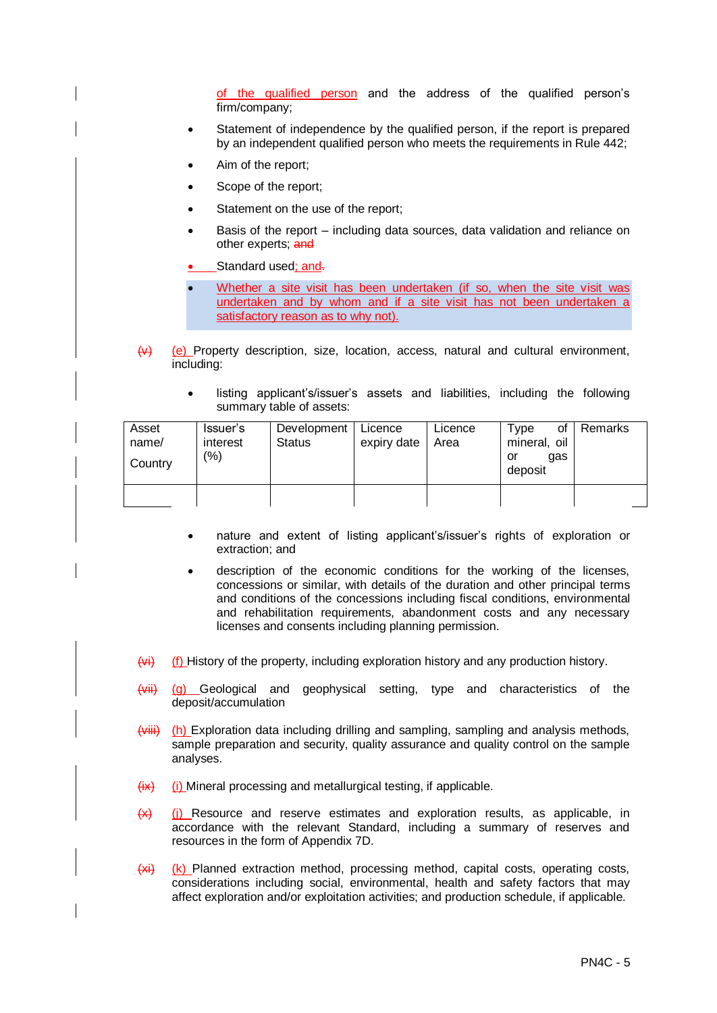of the qualified person and the address of the qualified person's firm/company;

- Statement of independence by the qualified person, if the report is prepared by an independent qualified person who meets the requirements in Rule 442;
- Aim of the report;
- Scope of the report;
- Statement on the use of the report;
- Basis of the report including data sources, data validation and reliance on other experts; and
- Standard used; and-
- Whether a site visit has been undertaken (if so, when the site visit was undertaken and by whom and if a site visit has not been undertaken a satisfactory reason as to why not).
- $\overline{y}$  (e) Property description, size, location, access, natural and cultural environment, including:
	- listing applicant's/issuer's assets and liabilities, including the following summary table of assets:

| Asset<br>name/<br>Country | Issuer's<br>interest<br>(%) | Development   Licence<br>Status | expiry date | Licence<br>Area | Type<br>οf<br>mineral, oil<br>qas<br>or<br>deposit | Remarks |
|---------------------------|-----------------------------|---------------------------------|-------------|-----------------|----------------------------------------------------|---------|
|                           |                             |                                 |             |                 |                                                    |         |

- nature and extent of listing applicant's/issuer's rights of exploration or extraction; and
- description of the economic conditions for the working of the licenses, concessions or similar, with details of the duration and other principal terms and conditions of the concessions including fiscal conditions, environmental and rehabilitation requirements, abandonment costs and any necessary licenses and consents including planning permission.
- $(w<sub>i</sub>)$  (f) History of the property, including exploration history and any production history.
- (vii) (g) Geological and geophysical setting, type and characteristics of the deposit/accumulation
- $(viiii)$  (h) Exploration data including drilling and sampling, sampling and analysis methods, sample preparation and security, quality assurance and quality control on the sample analyses.
- $(x)$  (i) Mineral processing and metallurgical testing, if applicable.
- $(x)$  (i) Resource and reserve estimates and exploration results, as applicable, in accordance with the relevant Standard, including a summary of reserves and resources in the form of Appendix 7D.
- $(xi)$  (k) Planned extraction method, processing method, capital costs, operating costs, considerations including social, environmental, health and safety factors that may affect exploration and/or exploitation activities; and production schedule, if applicable.